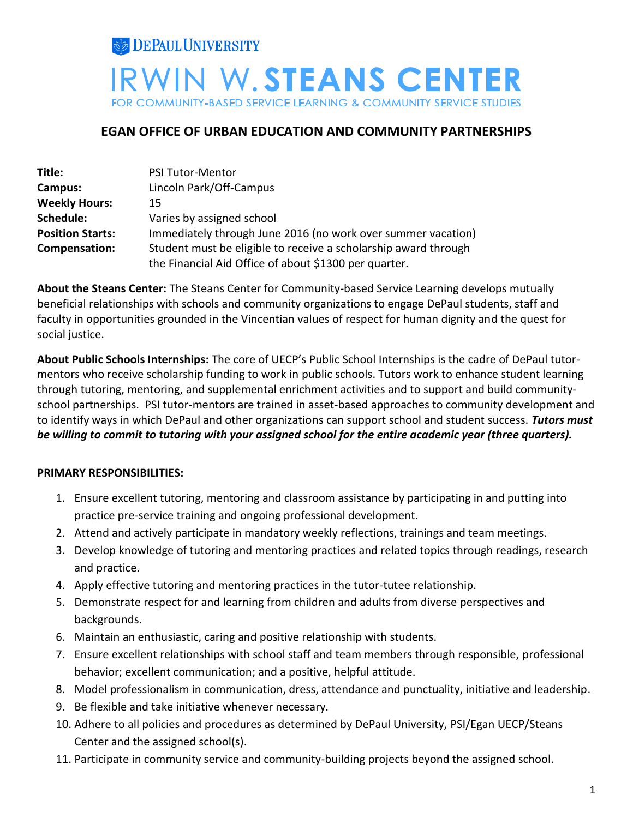

## **EGAN OFFICE OF URBAN EDUCATION AND COMMUNITY PARTNERSHIPS**

| Title:                  | <b>PSI Tutor-Mentor</b>                                         |
|-------------------------|-----------------------------------------------------------------|
| Campus:                 | Lincoln Park/Off-Campus                                         |
| <b>Weekly Hours:</b>    | 15                                                              |
| Schedule:               | Varies by assigned school                                       |
| <b>Position Starts:</b> | Immediately through June 2016 (no work over summer vacation)    |
| Compensation:           | Student must be eligible to receive a scholarship award through |
|                         | the Financial Aid Office of about \$1300 per quarter.           |

**About the Steans Center:** The Steans Center for Community-based Service Learning develops mutually beneficial relationships with schools and community organizations to engage DePaul students, staff and faculty in opportunities grounded in the Vincentian values of respect for human dignity and the quest for social justice.

**About Public Schools Internships:** The core of UECP's Public School Internships is the cadre of DePaul tutormentors who receive scholarship funding to work in public schools. Tutors work to enhance student learning through tutoring, mentoring, and supplemental enrichment activities and to support and build communityschool partnerships. PSI tutor-mentors are trained in asset-based approaches to community development and to identify ways in which DePaul and other organizations can support school and student success. *Tutors must be willing to commit to tutoring with your assigned school for the entire academic year (three quarters).*

## **PRIMARY RESPONSIBILITIES:**

- 1. Ensure excellent tutoring, mentoring and classroom assistance by participating in and putting into practice pre-service training and ongoing professional development.
- 2. Attend and actively participate in mandatory weekly reflections, trainings and team meetings.
- 3. Develop knowledge of tutoring and mentoring practices and related topics through readings, research and practice.
- 4. Apply effective tutoring and mentoring practices in the tutor-tutee relationship.
- 5. Demonstrate respect for and learning from children and adults from diverse perspectives and backgrounds.
- 6. Maintain an enthusiastic, caring and positive relationship with students.
- 7. Ensure excellent relationships with school staff and team members through responsible, professional behavior; excellent communication; and a positive, helpful attitude.
- 8. Model professionalism in communication, dress, attendance and punctuality, initiative and leadership.
- 9. Be flexible and take initiative whenever necessary.
- 10. Adhere to all policies and procedures as determined by DePaul University, PSI/Egan UECP/Steans Center and the assigned school(s).
- 11. Participate in community service and community-building projects beyond the assigned school.